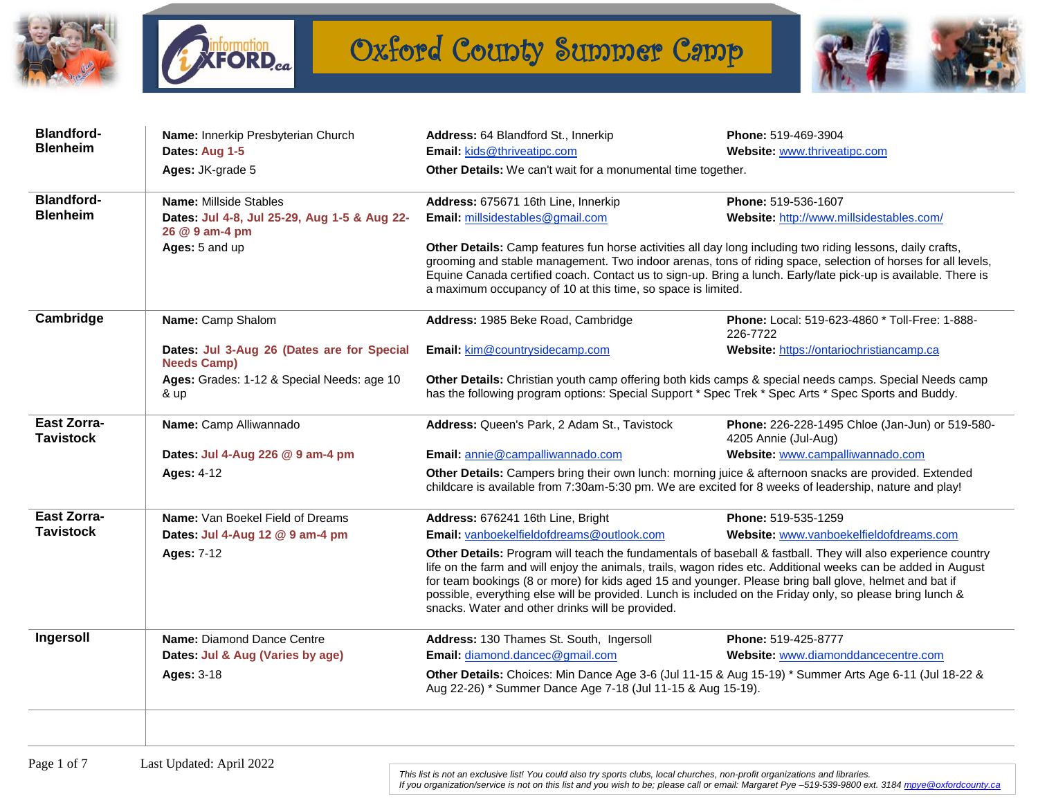



## Oxford County Summer Camp



| Dates: Aug 1-5                                                   | Email: kids@thriveatipc.com                                                                                                                                                                                                                                                                                                                                                                                                                                                                              |                                                                         |  |
|------------------------------------------------------------------|----------------------------------------------------------------------------------------------------------------------------------------------------------------------------------------------------------------------------------------------------------------------------------------------------------------------------------------------------------------------------------------------------------------------------------------------------------------------------------------------------------|-------------------------------------------------------------------------|--|
|                                                                  |                                                                                                                                                                                                                                                                                                                                                                                                                                                                                                          | Website: www.thriveatipc.com                                            |  |
| Ages: JK-grade 5                                                 | Other Details: We can't wait for a monumental time together.                                                                                                                                                                                                                                                                                                                                                                                                                                             |                                                                         |  |
| Name: Millside Stables                                           | Address: 675671 16th Line, Innerkip                                                                                                                                                                                                                                                                                                                                                                                                                                                                      | Phone: 519-536-1607                                                     |  |
| Dates: Jul 4-8, Jul 25-29, Aug 1-5 & Aug 22-<br>26 @ 9 am-4 pm   |                                                                                                                                                                                                                                                                                                                                                                                                                                                                                                          | Website: http://www.millsidestables.com/                                |  |
|                                                                  | Other Details: Camp features fun horse activities all day long including two riding lessons, daily crafts,<br>grooming and stable management. Two indoor arenas, tons of riding space, selection of horses for all levels,<br>Equine Canada certified coach. Contact us to sign-up. Bring a lunch. Early/late pick-up is available. There is<br>a maximum occupancy of 10 at this time, so space is limited.                                                                                             |                                                                         |  |
| Name: Camp Shalom                                                | Address: 1985 Beke Road, Cambridge                                                                                                                                                                                                                                                                                                                                                                                                                                                                       | <b>Phone:</b> Local: 519-623-4860 * Toll-Free: 1-888-<br>226-7722       |  |
| Dates: Jul 3-Aug 26 (Dates are for Special<br><b>Needs Camp)</b> | Email: kim@countrysidecamp.com                                                                                                                                                                                                                                                                                                                                                                                                                                                                           | Website: https://ontariochristiancamp.ca                                |  |
| Ages: Grades: 1-12 & Special Needs: age 10<br>& up               | Other Details: Christian youth camp offering both kids camps & special needs camps. Special Needs camp<br>has the following program options: Special Support * Spec Trek * Spec Arts * Spec Sports and Buddy.                                                                                                                                                                                                                                                                                            |                                                                         |  |
| Name: Camp Alliwannado                                           | Address: Queen's Park, 2 Adam St., Tavistock                                                                                                                                                                                                                                                                                                                                                                                                                                                             | Phone: 226-228-1495 Chloe (Jan-Jun) or 519-580-<br>4205 Annie (Jul-Aug) |  |
| Dates: Jul 4-Aug 226 @ 9 am-4 pm                                 | Email: annie@campalliwannado.com                                                                                                                                                                                                                                                                                                                                                                                                                                                                         | Website: www.campalliwannado.com                                        |  |
| <b>Ages: 4-12</b>                                                | Other Details: Campers bring their own lunch: morning juice & afternoon snacks are provided. Extended<br>childcare is available from 7:30am-5:30 pm. We are excited for 8 weeks of leadership, nature and play!                                                                                                                                                                                                                                                                                          |                                                                         |  |
| <b>Name:</b> Van Boekel Field of Dreams                          | Address: 676241 16th Line, Bright                                                                                                                                                                                                                                                                                                                                                                                                                                                                        | Phone: 519-535-1259                                                     |  |
| Dates: Jul 4-Aug 12 @ 9 am-4 pm                                  | Email: vanboekelfieldofdreams@outlook.com                                                                                                                                                                                                                                                                                                                                                                                                                                                                | Website: www.vanboekelfieldofdreams.com                                 |  |
| <b>Ages: 7-12</b>                                                | Other Details: Program will teach the fundamentals of baseball & fastball. They will also experience country<br>life on the farm and will enjoy the animals, trails, wagon rides etc. Additional weeks can be added in August<br>for team bookings (8 or more) for kids aged 15 and younger. Please bring ball glove, helmet and bat if<br>possible, everything else will be provided. Lunch is included on the Friday only, so please bring lunch &<br>snacks. Water and other drinks will be provided. |                                                                         |  |
| Name: Diamond Dance Centre                                       | Address: 130 Thames St. South, Ingersoll                                                                                                                                                                                                                                                                                                                                                                                                                                                                 | Phone: 519-425-8777                                                     |  |
| Dates: Jul & Aug (Varies by age)                                 | Email: diamond.dancec@gmail.com                                                                                                                                                                                                                                                                                                                                                                                                                                                                          | Website: www.diamonddancecentre.com                                     |  |
| <b>Ages: 3-18</b>                                                | Other Details: Choices: Min Dance Age 3-6 (Jul 11-15 & Aug 15-19) * Summer Arts Age 6-11 (Jul 18-22 &<br>Aug 22-26) * Summer Dance Age 7-18 (Jul 11-15 & Aug 15-19).                                                                                                                                                                                                                                                                                                                                     |                                                                         |  |
|                                                                  | Ages: 5 and up                                                                                                                                                                                                                                                                                                                                                                                                                                                                                           | Email: millsidestables@gmail.com                                        |  |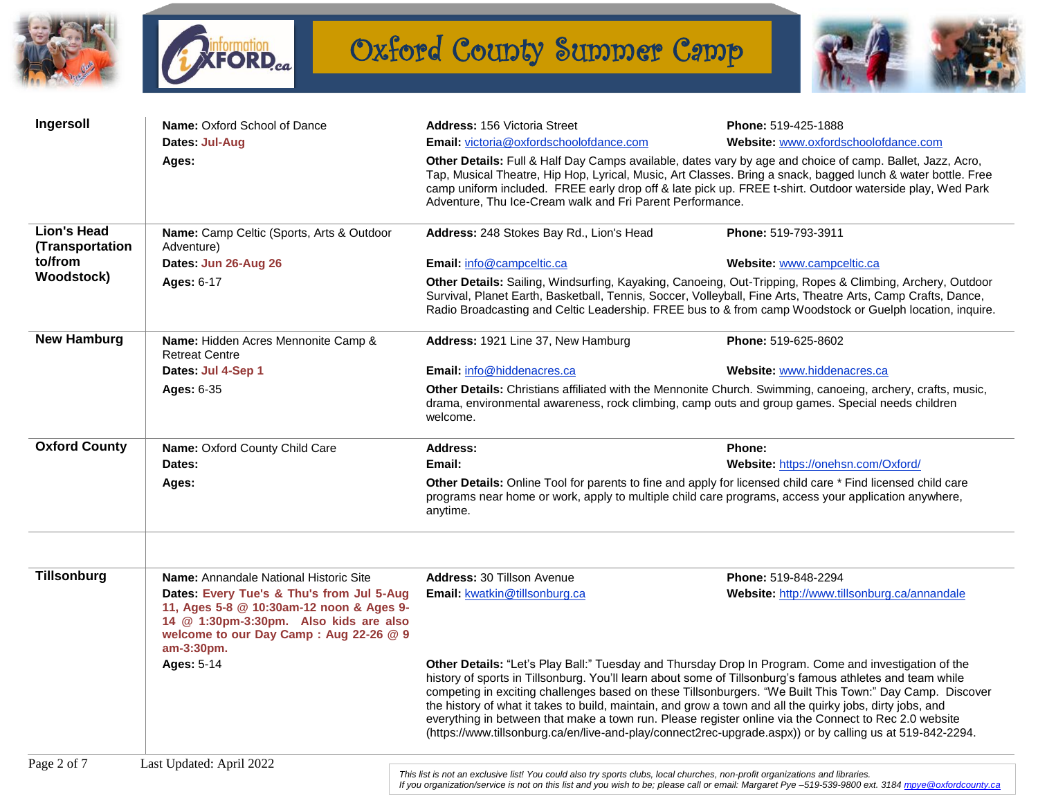



Oxford County Summer Camp



| Ingersoll                             | Name: Oxford School of Dance<br>Dates: Jul-Aug                                                                                                                                          | Address: 156 Victoria Street<br><b>Email:</b> victoria@oxfordschoolofdance.com                                                                                                                                                                                                                                                                                                                                                                                                                                                                                                                                                                                    | Phone: 519-425-1888<br>Website: www.oxfordschoolofdance.com                                                                                         |  |
|---------------------------------------|-----------------------------------------------------------------------------------------------------------------------------------------------------------------------------------------|-------------------------------------------------------------------------------------------------------------------------------------------------------------------------------------------------------------------------------------------------------------------------------------------------------------------------------------------------------------------------------------------------------------------------------------------------------------------------------------------------------------------------------------------------------------------------------------------------------------------------------------------------------------------|-----------------------------------------------------------------------------------------------------------------------------------------------------|--|
|                                       | Ages:                                                                                                                                                                                   | Other Details: Full & Half Day Camps available, dates vary by age and choice of camp. Ballet, Jazz, Acro,<br>Tap, Musical Theatre, Hip Hop, Lyrical, Music, Art Classes. Bring a snack, bagged lunch & water bottle. Free<br>camp uniform included. FREE early drop off & late pick up. FREE t-shirt. Outdoor waterside play, Wed Park<br>Adventure, Thu Ice-Cream walk and Fri Parent Performance.                                                                                                                                                                                                                                                               |                                                                                                                                                     |  |
| <b>Lion's Head</b><br>(Transportation | Name: Camp Celtic (Sports, Arts & Outdoor<br>Adventure)                                                                                                                                 | Address: 248 Stokes Bay Rd., Lion's Head                                                                                                                                                                                                                                                                                                                                                                                                                                                                                                                                                                                                                          | Phone: 519-793-3911                                                                                                                                 |  |
| to/from                               | Dates: Jun 26-Aug 26                                                                                                                                                                    | Email: info@campceltic.ca                                                                                                                                                                                                                                                                                                                                                                                                                                                                                                                                                                                                                                         | Website: www.campceltic.ca                                                                                                                          |  |
| <b>Woodstock)</b>                     | <b>Ages: 6-17</b>                                                                                                                                                                       | Other Details: Sailing, Windsurfing, Kayaking, Canoeing, Out-Tripping, Ropes & Climbing, Archery, Outdoor<br>Survival, Planet Earth, Basketball, Tennis, Soccer, Volleyball, Fine Arts, Theatre Arts, Camp Crafts, Dance,<br>Radio Broadcasting and Celtic Leadership. FREE bus to & from camp Woodstock or Guelph location, inquire.                                                                                                                                                                                                                                                                                                                             |                                                                                                                                                     |  |
| <b>New Hamburg</b>                    | Name: Hidden Acres Mennonite Camp &<br><b>Retreat Centre</b>                                                                                                                            | Address: 1921 Line 37, New Hamburg                                                                                                                                                                                                                                                                                                                                                                                                                                                                                                                                                                                                                                | Phone: 519-625-8602                                                                                                                                 |  |
|                                       | Dates: Jul 4-Sep 1                                                                                                                                                                      | Email: info@hiddenacres.ca                                                                                                                                                                                                                                                                                                                                                                                                                                                                                                                                                                                                                                        | Website: www.hiddenacres.ca                                                                                                                         |  |
|                                       | <b>Ages: 6-35</b>                                                                                                                                                                       | Other Details: Christians affiliated with the Mennonite Church. Swimming, canoeing, archery, crafts, music,<br>drama, environmental awareness, rock climbing, camp outs and group games. Special needs children<br>welcome.                                                                                                                                                                                                                                                                                                                                                                                                                                       |                                                                                                                                                     |  |
| <b>Oxford County</b>                  | Name: Oxford County Child Care                                                                                                                                                          | <b>Address:</b>                                                                                                                                                                                                                                                                                                                                                                                                                                                                                                                                                                                                                                                   | Phone:                                                                                                                                              |  |
|                                       | Dates:                                                                                                                                                                                  | Email:                                                                                                                                                                                                                                                                                                                                                                                                                                                                                                                                                                                                                                                            | Website: https://onehsn.com/Oxford/                                                                                                                 |  |
|                                       | Ages:                                                                                                                                                                                   | Other Details: Online Tool for parents to fine and apply for licensed child care * Find licensed child care<br>programs near home or work, apply to multiple child care programs, access your application anywhere,<br>anytime.                                                                                                                                                                                                                                                                                                                                                                                                                                   |                                                                                                                                                     |  |
| Tillsonburg                           | <b>Name:</b> Annandale National Historic Site                                                                                                                                           | <b>Address: 30 Tillson Avenue</b>                                                                                                                                                                                                                                                                                                                                                                                                                                                                                                                                                                                                                                 | Phone: 519-848-2294                                                                                                                                 |  |
|                                       | Dates: Every Tue's & Thu's from Jul 5-Aug<br>11, Ages 5-8 @ 10:30am-12 noon & Ages 9-<br>14 @ 1:30pm-3:30pm. Also kids are also<br>welcome to our Day Camp: Aug 22-26 @ 9<br>am-3:30pm. | <b>Email: kwatkin@tillsonburg.ca</b>                                                                                                                                                                                                                                                                                                                                                                                                                                                                                                                                                                                                                              | Website: http://www.tillsonburg.ca/annandale                                                                                                        |  |
|                                       | <b>Ages: 5-14</b>                                                                                                                                                                       | Other Details: "Let's Play Ball:" Tuesday and Thursday Drop In Program. Come and investigation of the<br>history of sports in Tillsonburg. You'll learn about some of Tillsonburg's famous athletes and team while<br>competing in exciting challenges based on these Tillsonburgers. "We Built This Town:" Day Camp. Discover<br>the history of what it takes to build, maintain, and grow a town and all the quirky jobs, dirty jobs, and<br>everything in between that make a town run. Please register online via the Connect to Rec 2.0 website<br>(https://www.tillsonburg.ca/en/live-and-play/connect2rec-upgrade.aspx)) or by calling us at 519-842-2294. |                                                                                                                                                     |  |
| Page 2 of 7                           | Last Updated: April 2022                                                                                                                                                                | This list is not an exclusive list! You could also try sports clubs, local churches, non-profit organizations and libraries.                                                                                                                                                                                                                                                                                                                                                                                                                                                                                                                                      | If you organization/service is not on this list and you wish to be: please call or email: Margaret Pye-519-539-9800 ext. 3184 mpye @oxfordcounty.ca |  |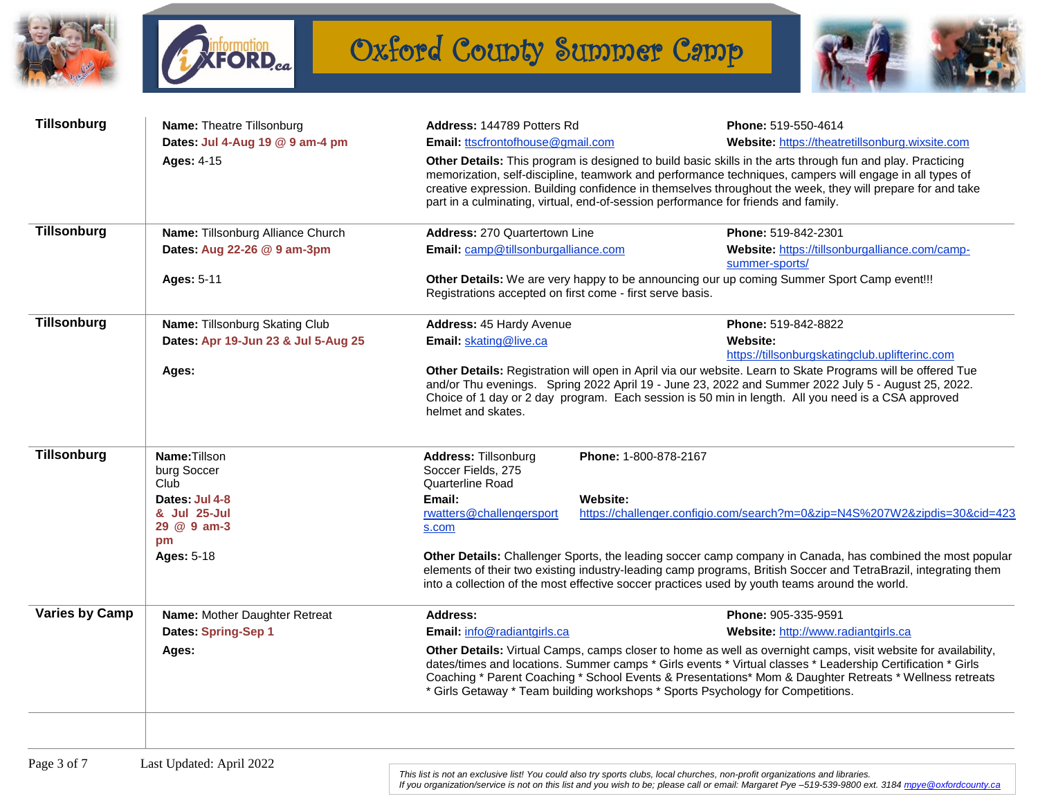



Oxford County Summer Camp



| <b>Tillsonburg</b>    | Name: Theatre Tillsonburg                           | Address: 144789 Potters Rd                                                                                                                                                                                                                                                                                                                                                                                                  |                                                                                                                                                                                                                                                                                                                                     | Phone: 519-550-4614                                                                                                                                                                                                                                                                                                             |
|-----------------------|-----------------------------------------------------|-----------------------------------------------------------------------------------------------------------------------------------------------------------------------------------------------------------------------------------------------------------------------------------------------------------------------------------------------------------------------------------------------------------------------------|-------------------------------------------------------------------------------------------------------------------------------------------------------------------------------------------------------------------------------------------------------------------------------------------------------------------------------------|---------------------------------------------------------------------------------------------------------------------------------------------------------------------------------------------------------------------------------------------------------------------------------------------------------------------------------|
|                       | Dates: Jul 4-Aug 19 @ 9 am-4 pm                     | Email: ttscfrontofhouse@gmail.com                                                                                                                                                                                                                                                                                                                                                                                           |                                                                                                                                                                                                                                                                                                                                     | Website: https://theatretillsonburg.wixsite.com                                                                                                                                                                                                                                                                                 |
|                       | <b>Ages: 4-15</b>                                   | part in a culminating, virtual, end-of-session performance for friends and family.                                                                                                                                                                                                                                                                                                                                          | Other Details: This program is designed to build basic skills in the arts through fun and play. Practicing<br>memorization, self-discipline, teamwork and performance techniques, campers will engage in all types of<br>creative expression. Building confidence in themselves throughout the week, they will prepare for and take |                                                                                                                                                                                                                                                                                                                                 |
| Tillsonburg           | Name: Tillsonburg Alliance Church                   | Address: 270 Quartertown Line                                                                                                                                                                                                                                                                                                                                                                                               |                                                                                                                                                                                                                                                                                                                                     | Phone: 519-842-2301                                                                                                                                                                                                                                                                                                             |
|                       | Dates: Aug 22-26 @ 9 am-3pm                         | Email: camp@tillsonburgalliance.com                                                                                                                                                                                                                                                                                                                                                                                         |                                                                                                                                                                                                                                                                                                                                     | Website: https://tillsonburgalliance.com/camp-<br>summer-sports/                                                                                                                                                                                                                                                                |
|                       | <b>Ages: 5-11</b>                                   | Other Details: We are very happy to be announcing our up coming Summer Sport Camp event!!!<br>Registrations accepted on first come - first serve basis.                                                                                                                                                                                                                                                                     |                                                                                                                                                                                                                                                                                                                                     |                                                                                                                                                                                                                                                                                                                                 |
| Tillsonburg           | Name: Tillsonburg Skating Club                      | Address: 45 Hardy Avenue                                                                                                                                                                                                                                                                                                                                                                                                    |                                                                                                                                                                                                                                                                                                                                     | Phone: 519-842-8822                                                                                                                                                                                                                                                                                                             |
|                       | Dates: Apr 19-Jun 23 & Jul 5-Aug 25                 | Email: skating@live.ca                                                                                                                                                                                                                                                                                                                                                                                                      |                                                                                                                                                                                                                                                                                                                                     | Website:<br>https://tillsonburgskatingclub.uplifterinc.com                                                                                                                                                                                                                                                                      |
|                       | Ages:                                               | helmet and skates.                                                                                                                                                                                                                                                                                                                                                                                                          |                                                                                                                                                                                                                                                                                                                                     | Other Details: Registration will open in April via our website. Learn to Skate Programs will be offered Tue<br>and/or Thu evenings. Spring 2022 April 19 - June 23, 2022 and Summer 2022 July 5 - August 25, 2022.<br>Choice of 1 day or 2 day program. Each session is 50 min in length. All you need is a CSA approved        |
| Tillsonburg           | Name: Tillson<br>burg Soccer<br>Club                | Address: Tillsonburg<br>Soccer Fields, 275<br><b>Quarterline Road</b>                                                                                                                                                                                                                                                                                                                                                       | Phone: 1-800-878-2167                                                                                                                                                                                                                                                                                                               |                                                                                                                                                                                                                                                                                                                                 |
|                       | Dates: Jul 4-8<br>& Jul 25-Jul<br>29 @ 9 am-3<br>pm | Email:<br>rwatters@challengersport<br>s.com                                                                                                                                                                                                                                                                                                                                                                                 | Website:                                                                                                                                                                                                                                                                                                                            | https://challenger.configio.com/search?m=0&zip=N4S%207W2&zipdis=30&cid=423                                                                                                                                                                                                                                                      |
|                       | <b>Ages: 5-18</b>                                   |                                                                                                                                                                                                                                                                                                                                                                                                                             |                                                                                                                                                                                                                                                                                                                                     | Other Details: Challenger Sports, the leading soccer camp company in Canada, has combined the most popular<br>elements of their two existing industry-leading camp programs, British Soccer and TetraBrazil, integrating them<br>into a collection of the most effective soccer practices used by youth teams around the world. |
| <b>Varies by Camp</b> | Name: Mother Daughter Retreat                       | Address:                                                                                                                                                                                                                                                                                                                                                                                                                    |                                                                                                                                                                                                                                                                                                                                     | Phone: 905-335-9591                                                                                                                                                                                                                                                                                                             |
|                       | Dates: Spring-Sep 1                                 | Email: info@radiantgirls.ca                                                                                                                                                                                                                                                                                                                                                                                                 |                                                                                                                                                                                                                                                                                                                                     | Website: http://www.radiantgirls.ca                                                                                                                                                                                                                                                                                             |
|                       | Ages:                                               | Other Details: Virtual Camps, camps closer to home as well as overnight camps, visit website for availability,<br>dates/times and locations. Summer camps * Girls events * Virtual classes * Leadership Certification * Girls<br>Coaching * Parent Coaching * School Events & Presentations* Mom & Daughter Retreats * Wellness retreats<br>* Girls Getaway * Team building workshops * Sports Psychology for Competitions. |                                                                                                                                                                                                                                                                                                                                     |                                                                                                                                                                                                                                                                                                                                 |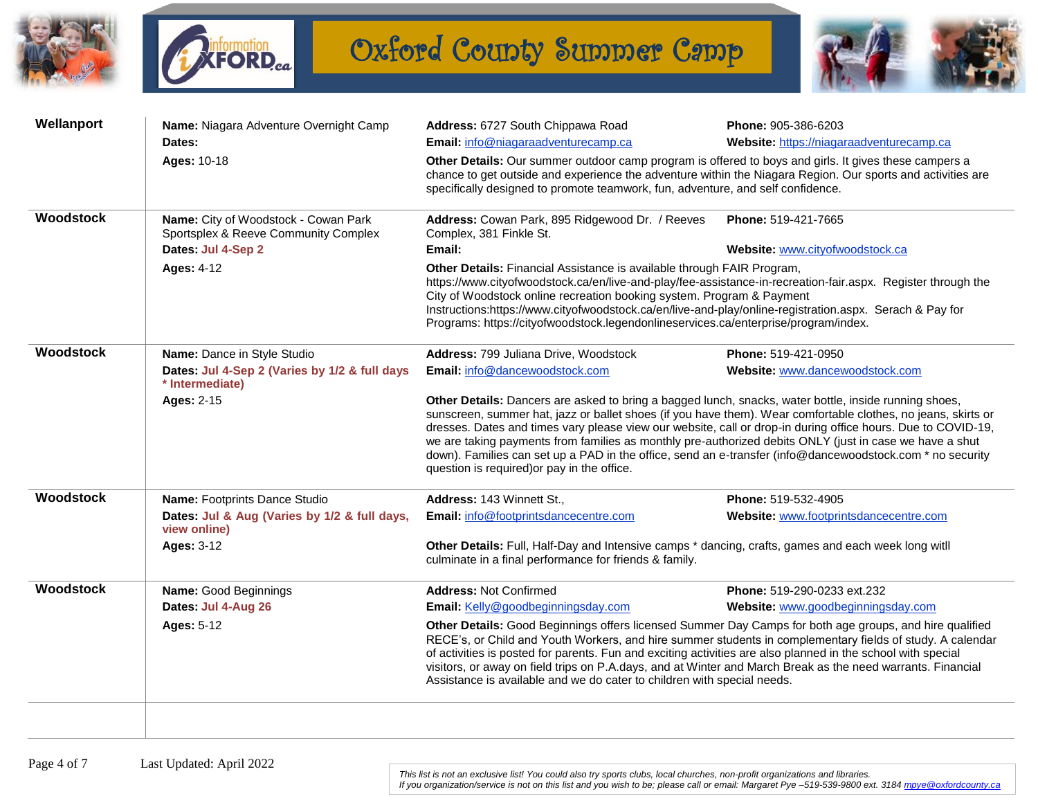



Oxford County Summer Camp



| Wellanport | Name: Niagara Adventure Overnight Camp                                       | Address: 6727 South Chippawa Road                                                                                                                                                                                                                                                                                                                                                                                                                                                                                                                                                                             | Phone: 905-386-6203                      |  |  |
|------------|------------------------------------------------------------------------------|---------------------------------------------------------------------------------------------------------------------------------------------------------------------------------------------------------------------------------------------------------------------------------------------------------------------------------------------------------------------------------------------------------------------------------------------------------------------------------------------------------------------------------------------------------------------------------------------------------------|------------------------------------------|--|--|
|            | Dates:                                                                       | Email: info@niagaraadventurecamp.ca                                                                                                                                                                                                                                                                                                                                                                                                                                                                                                                                                                           | Website: https://niagaraadventurecamp.ca |  |  |
|            | Ages: 10-18                                                                  | Other Details: Our summer outdoor camp program is offered to boys and girls. It gives these campers a<br>chance to get outside and experience the adventure within the Niagara Region. Our sports and activities are<br>specifically designed to promote teamwork, fun, adventure, and self confidence.                                                                                                                                                                                                                                                                                                       |                                          |  |  |
| Woodstock  | Name: City of Woodstock - Cowan Park<br>Sportsplex & Reeve Community Complex | Address: Cowan Park, 895 Ridgewood Dr. / Reeves<br>Phone: 519-421-7665<br>Complex, 381 Finkle St.                                                                                                                                                                                                                                                                                                                                                                                                                                                                                                             |                                          |  |  |
|            | Dates: Jul 4-Sep 2                                                           | Email:                                                                                                                                                                                                                                                                                                                                                                                                                                                                                                                                                                                                        | Website: www.cityofwoodstock.ca          |  |  |
|            | <b>Ages: 4-12</b>                                                            | Other Details: Financial Assistance is available through FAIR Program,<br>https://www.cityofwoodstock.ca/en/live-and-play/fee-assistance-in-recreation-fair.aspx. Register through the<br>City of Woodstock online recreation booking system. Program & Payment<br>Instructions:https://www.cityofwoodstock.ca/en/live-and-play/online-registration.aspx. Serach & Pay for<br>Programs: https://cityofwoodstock.legendonlineservices.ca/enterprise/program/index.                                                                                                                                             |                                          |  |  |
| Woodstock  | Name: Dance in Style Studio                                                  | Address: 799 Juliana Drive, Woodstock                                                                                                                                                                                                                                                                                                                                                                                                                                                                                                                                                                         | Phone: 519-421-0950                      |  |  |
|            | Dates: Jul 4-Sep 2 (Varies by 1/2 & full days<br>* Intermediate)             | Email: info@dancewoodstock.com                                                                                                                                                                                                                                                                                                                                                                                                                                                                                                                                                                                | Website: www.dancewoodstock.com          |  |  |
|            | <b>Ages: 2-15</b>                                                            | Other Details: Dancers are asked to bring a bagged lunch, snacks, water bottle, inside running shoes,<br>sunscreen, summer hat, jazz or ballet shoes (if you have them). Wear comfortable clothes, no jeans, skirts or<br>dresses. Dates and times vary please view our website, call or drop-in during office hours. Due to COVID-19,<br>we are taking payments from families as monthly pre-authorized debits ONLY (just in case we have a shut<br>down). Families can set up a PAD in the office, send an e-transfer (info@dancewoodstock.com * no security<br>question is required) or pay in the office. |                                          |  |  |
| Woodstock  | Name: Footprints Dance Studio                                                | Address: 143 Winnett St.,                                                                                                                                                                                                                                                                                                                                                                                                                                                                                                                                                                                     | Phone: 519-532-4905                      |  |  |
|            | Dates: Jul & Aug (Varies by 1/2 & full days,<br>view online)                 | Email: info@footprintsdancecentre.com                                                                                                                                                                                                                                                                                                                                                                                                                                                                                                                                                                         | Website: www.footprintsdancecentre.com   |  |  |
|            | <b>Ages: 3-12</b>                                                            | Other Details: Full, Half-Day and Intensive camps * dancing, crafts, games and each week long witll<br>culminate in a final performance for friends & family.                                                                                                                                                                                                                                                                                                                                                                                                                                                 |                                          |  |  |
| Woodstock  | Name: Good Beginnings                                                        | <b>Address: Not Confirmed</b>                                                                                                                                                                                                                                                                                                                                                                                                                                                                                                                                                                                 | Phone: 519-290-0233 ext.232              |  |  |
|            | Dates: Jul 4-Aug 26                                                          | Email: Kelly@goodbeginningsday.com                                                                                                                                                                                                                                                                                                                                                                                                                                                                                                                                                                            | Website: www.goodbeginningsday.com       |  |  |
|            | <b>Ages: 5-12</b>                                                            | Other Details: Good Beginnings offers licensed Summer Day Camps for both age groups, and hire qualified<br>RECE's, or Child and Youth Workers, and hire summer students in complementary fields of study. A calendar<br>of activities is posted for parents. Fun and exciting activities are also planned in the school with special<br>visitors, or away on field trips on P.A.days, and at Winter and March Break as the need warrants. Financial<br>Assistance is available and we do cater to children with special needs.                                                                                |                                          |  |  |
|            |                                                                              |                                                                                                                                                                                                                                                                                                                                                                                                                                                                                                                                                                                                               |                                          |  |  |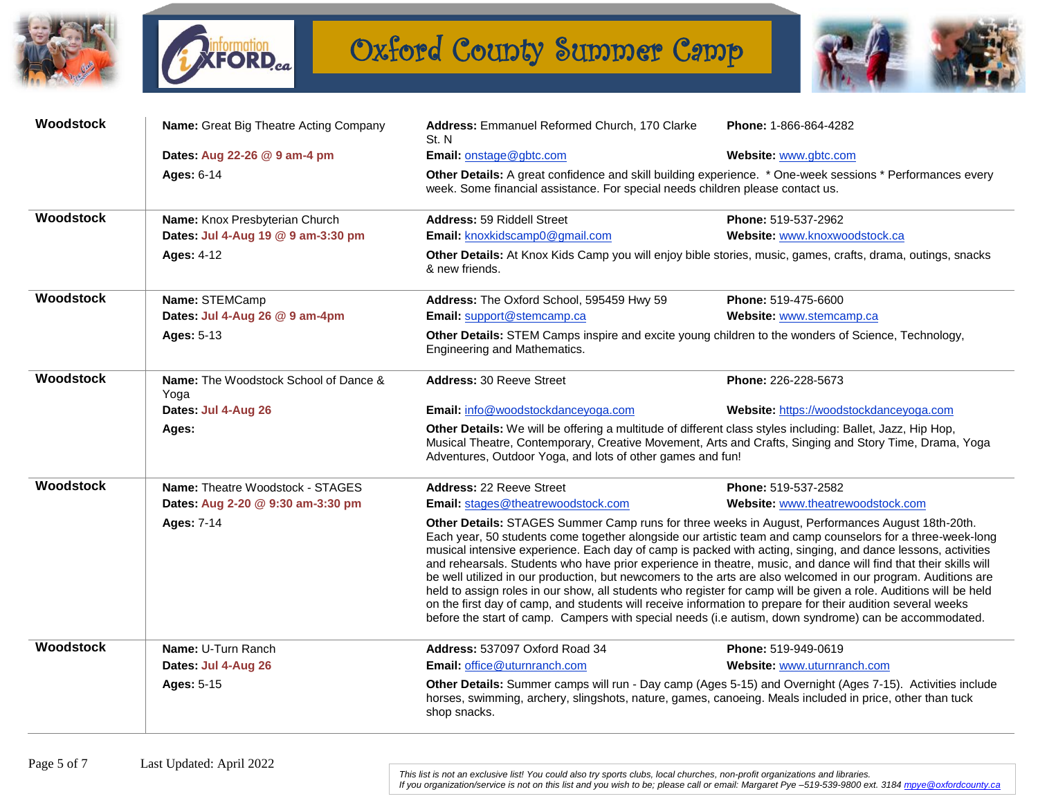



Oxford County Summer Camp



| Woodstock | Name: Great Big Theatre Acting Company        | Address: Emmanuel Reformed Church, 170 Clarke<br>St. N                                                                                                                                                                                                                                                                                                                                                                                                                                                                                                                                                                                                                                                                                                                                                                                                                                                           | Phone: 1-866-864-4282                   |  |
|-----------|-----------------------------------------------|------------------------------------------------------------------------------------------------------------------------------------------------------------------------------------------------------------------------------------------------------------------------------------------------------------------------------------------------------------------------------------------------------------------------------------------------------------------------------------------------------------------------------------------------------------------------------------------------------------------------------------------------------------------------------------------------------------------------------------------------------------------------------------------------------------------------------------------------------------------------------------------------------------------|-----------------------------------------|--|
|           | Dates: Aug 22-26 @ 9 am-4 pm                  | Email: onstage@gbtc.com                                                                                                                                                                                                                                                                                                                                                                                                                                                                                                                                                                                                                                                                                                                                                                                                                                                                                          | Website: www.gbtc.com                   |  |
|           | <b>Ages: 6-14</b>                             | Other Details: A great confidence and skill building experience. * One-week sessions * Performances every<br>week. Some financial assistance. For special needs children please contact us.                                                                                                                                                                                                                                                                                                                                                                                                                                                                                                                                                                                                                                                                                                                      |                                         |  |
| Woodstock | Name: Knox Presbyterian Church                | Address: 59 Riddell Street                                                                                                                                                                                                                                                                                                                                                                                                                                                                                                                                                                                                                                                                                                                                                                                                                                                                                       | Phone: 519-537-2962                     |  |
|           | Dates: Jul 4-Aug 19 @ 9 am-3:30 pm            | Email: knoxkidscamp0@gmail.com                                                                                                                                                                                                                                                                                                                                                                                                                                                                                                                                                                                                                                                                                                                                                                                                                                                                                   | Website: www.knoxwoodstock.ca           |  |
|           | <b>Ages: 4-12</b>                             | Other Details: At Knox Kids Camp you will enjoy bible stories, music, games, crafts, drama, outings, snacks<br>& new friends.                                                                                                                                                                                                                                                                                                                                                                                                                                                                                                                                                                                                                                                                                                                                                                                    |                                         |  |
| Woodstock | Name: STEMCamp                                | Address: The Oxford School, 595459 Hwy 59                                                                                                                                                                                                                                                                                                                                                                                                                                                                                                                                                                                                                                                                                                                                                                                                                                                                        | <b>Phone: 519-475-6600</b>              |  |
|           | Dates: Jul 4-Aug 26 @ 9 am-4pm                | Email: support@stemcamp.ca                                                                                                                                                                                                                                                                                                                                                                                                                                                                                                                                                                                                                                                                                                                                                                                                                                                                                       | Website: www.stemcamp.ca                |  |
|           | <b>Ages: 5-13</b>                             | Other Details: STEM Camps inspire and excite young children to the wonders of Science, Technology,<br>Engineering and Mathematics.                                                                                                                                                                                                                                                                                                                                                                                                                                                                                                                                                                                                                                                                                                                                                                               |                                         |  |
| Woodstock | Name: The Woodstock School of Dance &<br>Yoga | <b>Address: 30 Reeve Street</b>                                                                                                                                                                                                                                                                                                                                                                                                                                                                                                                                                                                                                                                                                                                                                                                                                                                                                  | Phone: 226-228-5673                     |  |
|           | Dates: Jul 4-Aug 26                           | Email: info@woodstockdanceyoga.com                                                                                                                                                                                                                                                                                                                                                                                                                                                                                                                                                                                                                                                                                                                                                                                                                                                                               | Website: https://woodstockdanceyoga.com |  |
|           | Ages:                                         | Other Details: We will be offering a multitude of different class styles including: Ballet, Jazz, Hip Hop,<br>Musical Theatre, Contemporary, Creative Movement, Arts and Crafts, Singing and Story Time, Drama, Yoga<br>Adventures, Outdoor Yoga, and lots of other games and fun!                                                                                                                                                                                                                                                                                                                                                                                                                                                                                                                                                                                                                               |                                         |  |
| Woodstock | Name: Theatre Woodstock - STAGES              | <b>Address: 22 Reeve Street</b>                                                                                                                                                                                                                                                                                                                                                                                                                                                                                                                                                                                                                                                                                                                                                                                                                                                                                  | Phone: 519-537-2582                     |  |
|           | Dates: Aug 2-20 @ 9:30 am-3:30 pm             | Email: stages@theatrewoodstock.com                                                                                                                                                                                                                                                                                                                                                                                                                                                                                                                                                                                                                                                                                                                                                                                                                                                                               | Website: www.theatrewoodstock.com       |  |
|           | <b>Ages: 7-14</b>                             | Other Details: STAGES Summer Camp runs for three weeks in August, Performances August 18th-20th.<br>Each year, 50 students come together alongside our artistic team and camp counselors for a three-week-long<br>musical intensive experience. Each day of camp is packed with acting, singing, and dance lessons, activities<br>and rehearsals. Students who have prior experience in theatre, music, and dance will find that their skills will<br>be well utilized in our production, but newcomers to the arts are also welcomed in our program. Auditions are<br>held to assign roles in our show, all students who register for camp will be given a role. Auditions will be held<br>on the first day of camp, and students will receive information to prepare for their audition several weeks<br>before the start of camp. Campers with special needs (i.e autism, down syndrome) can be accommodated. |                                         |  |
| Woodstock | Name: U-Turn Ranch                            | Address: 537097 Oxford Road 34                                                                                                                                                                                                                                                                                                                                                                                                                                                                                                                                                                                                                                                                                                                                                                                                                                                                                   | Phone: 519-949-0619                     |  |
|           | Dates: Jul 4-Aug 26                           | Email: office@uturnranch.com                                                                                                                                                                                                                                                                                                                                                                                                                                                                                                                                                                                                                                                                                                                                                                                                                                                                                     | Website: www.uturnranch.com             |  |
|           | <b>Ages: 5-15</b>                             | Other Details: Summer camps will run - Day camp (Ages 5-15) and Overnight (Ages 7-15). Activities include<br>horses, swimming, archery, slingshots, nature, games, canoeing. Meals included in price, other than tuck<br>shop snacks.                                                                                                                                                                                                                                                                                                                                                                                                                                                                                                                                                                                                                                                                            |                                         |  |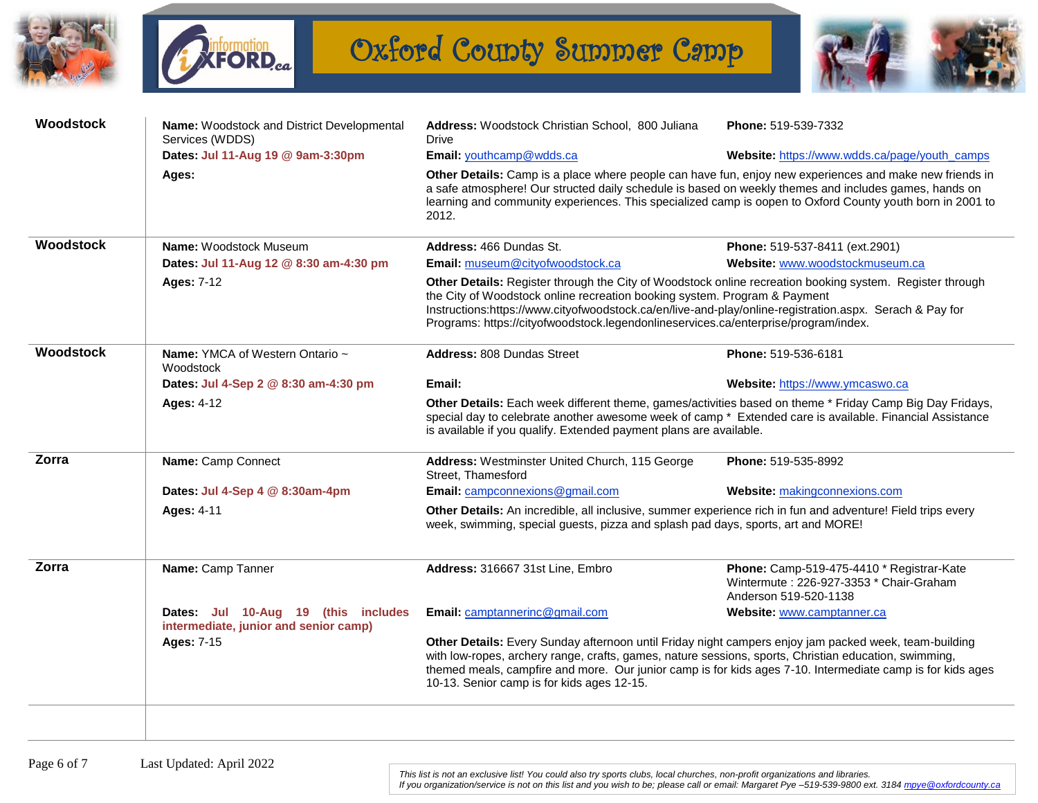



Oxford County Summer Camp



| <b>Woodstock</b> | Name: Woodstock and District Developmental<br>Services (WDDS)                | Address: Woodstock Christian School, 800 Juliana<br>Drive                                                                                                                                                                                                                                                                                                                               | Phone: 519-539-7332                                                                                           |  |
|------------------|------------------------------------------------------------------------------|-----------------------------------------------------------------------------------------------------------------------------------------------------------------------------------------------------------------------------------------------------------------------------------------------------------------------------------------------------------------------------------------|---------------------------------------------------------------------------------------------------------------|--|
|                  | Dates: Jul 11-Aug 19 @ 9am-3:30pm                                            | Email: youthcamp@wdds.ca                                                                                                                                                                                                                                                                                                                                                                | Website: https://www.wdds.ca/page/youth_camps                                                                 |  |
|                  | Ages:                                                                        | Other Details: Camp is a place where people can have fun, enjoy new experiences and make new friends in<br>a safe atmosphere! Our structed daily schedule is based on weekly themes and includes games, hands on<br>learning and community experiences. This specialized camp is oopen to Oxford County youth born in 2001 to<br>2012.                                                  |                                                                                                               |  |
| <b>Woodstock</b> | Name: Woodstock Museum                                                       | Address: 466 Dundas St.                                                                                                                                                                                                                                                                                                                                                                 | Phone: 519-537-8411 (ext.2901)                                                                                |  |
|                  | Dates: Jul 11-Aug 12 @ 8:30 am-4:30 pm                                       | Email: museum@cityofwoodstock.ca                                                                                                                                                                                                                                                                                                                                                        | Website: www.woodstockmuseum.ca                                                                               |  |
|                  | <b>Ages: 7-12</b>                                                            | Other Details: Register through the City of Woodstock online recreation booking system. Register through<br>the City of Woodstock online recreation booking system. Program & Payment<br>Instructions:https://www.cityofwoodstock.ca/en/live-and-play/online-registration.aspx. Serach & Pay for<br>Programs: https://cityofwoodstock.legendonlineservices.ca/enterprise/program/index. |                                                                                                               |  |
| <b>Woodstock</b> | <b>Name:</b> YMCA of Western Ontario ~<br>Woodstock                          | <b>Address: 808 Dundas Street</b>                                                                                                                                                                                                                                                                                                                                                       | Phone: 519-536-6181                                                                                           |  |
|                  | Dates: Jul 4-Sep 2 @ 8:30 am-4:30 pm                                         | Email:                                                                                                                                                                                                                                                                                                                                                                                  | Website: https://www.ymcaswo.ca                                                                               |  |
|                  | <b>Ages: 4-12</b>                                                            | Other Details: Each week different theme, games/activities based on theme * Friday Camp Big Day Fridays,<br>special day to celebrate another awesome week of camp * Extended care is available. Financial Assistance<br>is available if you qualify. Extended payment plans are available.                                                                                              |                                                                                                               |  |
| Zorra            | Name: Camp Connect                                                           | Address: Westminster United Church, 115 George<br>Street, Thamesford                                                                                                                                                                                                                                                                                                                    | Phone: 519-535-8992                                                                                           |  |
|                  | Dates: Jul 4-Sep 4 @ 8:30am-4pm                                              | Email: campconnexions@gmail.com                                                                                                                                                                                                                                                                                                                                                         | Website: makingconnexions.com                                                                                 |  |
|                  | <b>Ages: 4-11</b>                                                            | Other Details: An incredible, all inclusive, summer experience rich in fun and adventure! Field trips every<br>week, swimming, special guests, pizza and splash pad days, sports, art and MORE!                                                                                                                                                                                         |                                                                                                               |  |
| Zorra            | Name: Camp Tanner                                                            | Address: 316667 31st Line, Embro                                                                                                                                                                                                                                                                                                                                                        | Phone: Camp-519-475-4410 * Registrar-Kate<br>Wintermute: 226-927-3353 * Chair-Graham<br>Anderson 519-520-1138 |  |
|                  | Dates: Jul 10-Aug 19 (this includes<br>intermediate, junior and senior camp) | Email: camptannerinc@gmail.com                                                                                                                                                                                                                                                                                                                                                          | Website: www.camptanner.ca                                                                                    |  |
|                  | <b>Ages: 7-15</b>                                                            | Other Details: Every Sunday afternoon until Friday night campers enjoy jam packed week, team-building<br>with low-ropes, archery range, crafts, games, nature sessions, sports, Christian education, swimming,<br>themed meals, campfire and more. Our junior camp is for kids ages 7-10. Intermediate camp is for kids ages<br>10-13. Senior camp is for kids ages 12-15.              |                                                                                                               |  |
|                  |                                                                              |                                                                                                                                                                                                                                                                                                                                                                                         |                                                                                                               |  |